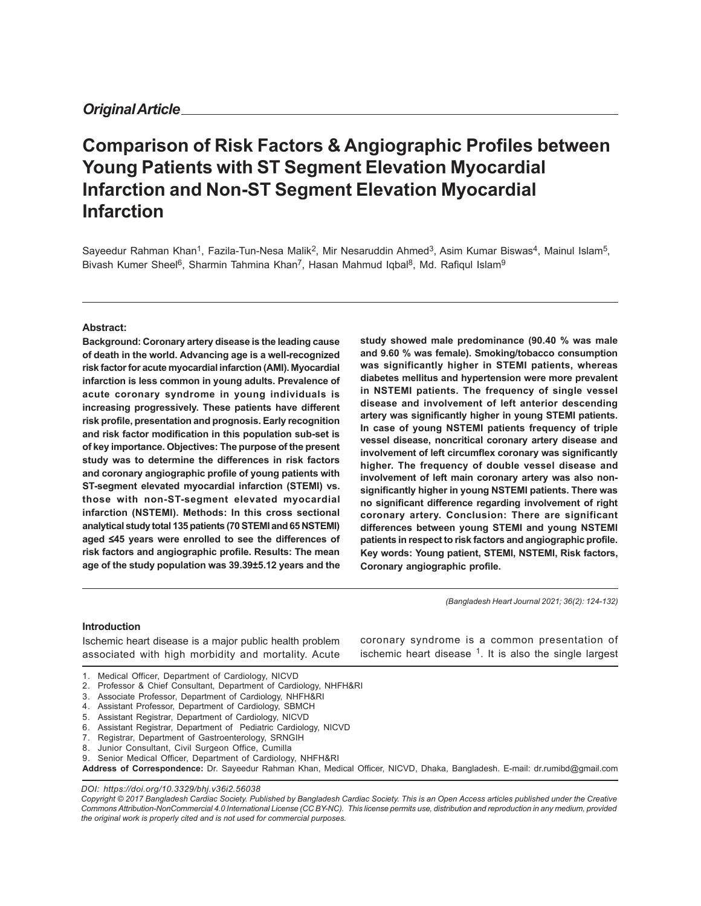# **Comparison of Risk Factors & Angiographic Profiles between Young Patients with ST Segment Elevation Myocardial Infarction and Non-ST Segment Elevation Myocardial Infarction**

Sayeedur Rahman Khan<sup>1</sup>, Fazila-Tun-Nesa Malik<sup>2</sup>, Mir Nesaruddin Ahmed<sup>3</sup>, Asim Kumar Biswas<sup>4</sup>, Mainul Islam<sup>5</sup>, Bivash Kumer Sheel<sup>6</sup>, Sharmin Tahmina Khan<sup>7</sup>, Hasan Mahmud Iqbal<sup>8</sup>, Md. Rafiqul Islam<sup>9</sup>

#### **Abstract:**

**Background: Coronary artery disease is the leading cause of death in the world. Advancing age is a well-recognized risk factor for acute myocardial infarction (AMI). Myocardial infarction is less common in young adults. Prevalence of acute coronary syndrome in young individuals is increasing progressively. These patients have different risk profile, presentation and prognosis. Early recognition and risk factor modification in this population sub-set is of key importance. Objectives: The purpose of the present study was to determine the differences in risk factors and coronary angiographic profile of young patients with ST-segment elevated myocardial infarction (STEMI) vs. those with non-ST-segment elevated myocardial infarction (NSTEMI). Methods: In this cross sectional analytical study total 135 patients (70 STEMI and 65 NSTEMI) aged** ≤**45 years were enrolled to see the differences of risk factors and angiographic profile. Results: The mean age of the study population was 39.39±5.12 years and the** **study showed male predominance (90.40 % was male and 9.60 % was female). Smoking/tobacco consumption was significantly higher in STEMI patients, whereas diabetes mellitus and hypertension were more prevalent in NSTEMI patients. The frequency of single vessel disease and involvement of left anterior descending artery was significantly higher in young STEMI patients. In case of young NSTEMI patients frequency of triple vessel disease, noncritical coronary artery disease and involvement of left circumflex coronary was significantly higher. The frequency of double vessel disease and involvement of left main coronary artery was also nonsignificantly higher in young NSTEMI patients. There was no significant difference regarding involvement of right coronary artery. Conclusion: There are significant differences between young STEMI and young NSTEMI patients in respect to risk factors and angiographic profile. Key words: Young patient, STEMI, NSTEMI, Risk factors, Coronary angiographic profile.**

*(Bangladesh Heart Journal 2021; 36(2): 124-132)*

#### **Introduction**

Ischemic heart disease is a major public health problem associated with high morbidity and mortality. Acute coronary syndrome is a common presentation of ischemic heart disease  $1$ . It is also the single largest

- 2. Professor & Chief Consultant, Department of Cardiology, NHFH&RI
- 3. Associate Professor, Department of Cardiology, NHFH&RI
- 4. Assistant Professor, Department of Cardiology, SBMCH
- 5. Assistant Registrar, Department of Cardiology, NICVD
- 6. Assistant Registrar, Department of Pediatric Cardiology, NICVD
- 7. Registrar, Department of Gastroenterology, SRNGIH
- 8. Junior Consultant, Civil Surgeon Office, Cumilla
- 9. Senior Medical Officer, Department of Cardiology, NHFH&RI

*DOI: https://doi.org/10.3329/bhj.v36i2.56038*

*Copyright © 2017 Bangladesh Cardiac Society. Published by Bangladesh Cardiac Society. This is an Open Access articles published under the Creative Commons Attribution-NonCommercial 4.0 International License (CC BY-NC). This license permits use, distribution and reproduction in any medium, provided the original work is properly cited and is not used for commercial purposes.*

<sup>1.</sup> Medical Officer, Department of Cardiology, NICVD

**Address of Correspondence:** Dr. Sayeedur Rahman Khan, Medical Officer, NICVD, Dhaka, Bangladesh. E-mail: dr.rumibd@gmail.com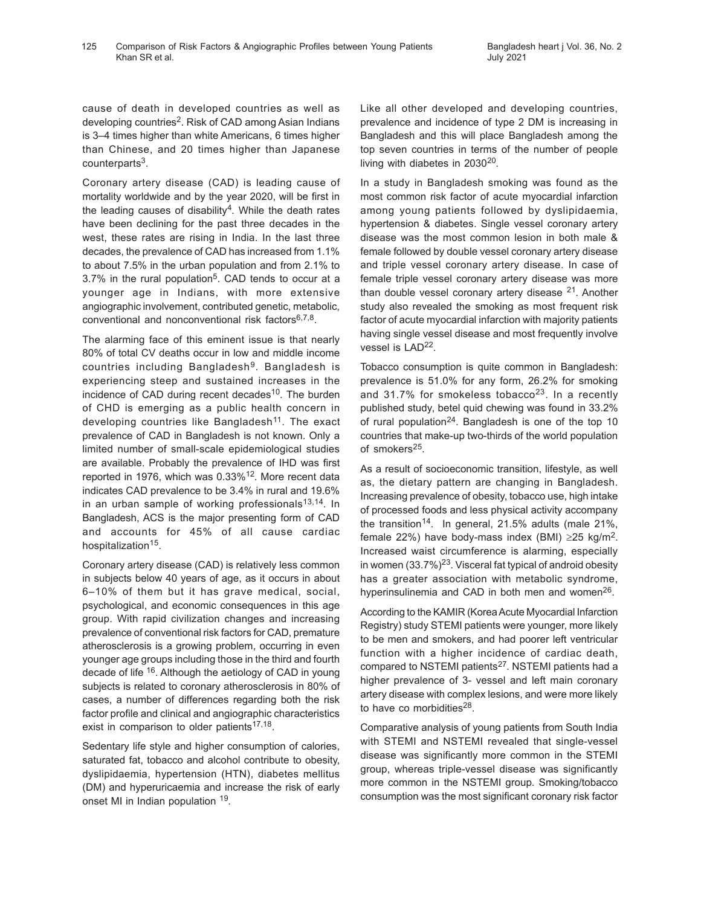cause of death in developed countries as well as developing countries<sup>2</sup>. Risk of CAD among Asian Indians is 3–4 times higher than white Americans, 6 times higher than Chinese, and 20 times higher than Japanese counterparts<sup>3</sup>.

Coronary artery disease (CAD) is leading cause of mortality worldwide and by the year 2020, will be first in the leading causes of disability<sup>4</sup>. While the death rates have been declining for the past three decades in the west, these rates are rising in India. In the last three decades, the prevalence of CAD has increased from 1.1% to about 7.5% in the urban population and from 2.1% to 3.7% in the rural population<sup>5</sup>. CAD tends to occur at a younger age in Indians, with more extensive angiographic involvement, contributed genetic, metabolic, conventional and nonconventional risk factors<sup>6,7,8</sup>.

The alarming face of this eminent issue is that nearly 80% of total CV deaths occur in low and middle income countries including Bangladesh<sup>9</sup>. Bangladesh is experiencing steep and sustained increases in the incidence of CAD during recent decades<sup>10</sup>. The burden of CHD is emerging as a public health concern in developing countries like Bangladesh<sup>11</sup>. The exact prevalence of CAD in Bangladesh is not known. Only a limited number of small-scale epidemiological studies are available. Probably the prevalence of IHD was first reported in 1976, which was 0.33%12. More recent data indicates CAD prevalence to be 3.4% in rural and 19.6% in an urban sample of working professionals $13,14$ . In Bangladesh, ACS is the major presenting form of CAD and accounts for 45% of all cause cardiac hospitalization<sup>15</sup>.

Coronary artery disease (CAD) is relatively less common in subjects below 40 years of age, as it occurs in about 6–10% of them but it has grave medical, social, psychological, and economic consequences in this age group. With rapid civilization changes and increasing prevalence of conventional risk factors for CAD, premature atherosclerosis is a growing problem, occurring in even younger age groups including those in the third and fourth decade of life <sup>16</sup>. Although the aetiology of CAD in young subjects is related to coronary atherosclerosis in 80% of cases, a number of differences regarding both the risk factor profile and clinical and angiographic characteristics exist in comparison to older patients<sup>17,18</sup>.

Sedentary life style and higher consumption of calories, saturated fat, tobacco and alcohol contribute to obesity, dyslipidaemia, hypertension (HTN), diabetes mellitus (DM) and hyperuricaemia and increase the risk of early onset MI in Indian population <sup>19</sup>.

Like all other developed and developing countries, prevalence and incidence of type 2 DM is increasing in Bangladesh and this will place Bangladesh among the top seven countries in terms of the number of people living with diabetes in 2030<sup>20</sup>.

In a study in Bangladesh smoking was found as the most common risk factor of acute myocardial infarction among young patients followed by dyslipidaemia, hypertension & diabetes. Single vessel coronary artery disease was the most common lesion in both male & female followed by double vessel coronary artery disease and triple vessel coronary artery disease. In case of female triple vessel coronary artery disease was more than double vessel coronary artery disease <sup>21</sup>. Another study also revealed the smoking as most frequent risk factor of acute myocardial infarction with majority patients having single vessel disease and most frequently involve vessel is LAD<sup>22</sup>.

Tobacco consumption is quite common in Bangladesh: prevalence is 51.0% for any form, 26.2% for smoking and 31.7% for smokeless tobacco<sup>23</sup>. In a recently published study, betel quid chewing was found in 33.2% of rural population<sup>24</sup>. Bangladesh is one of the top 10 countries that make-up two-thirds of the world population of smokers<sup>25</sup>.

As a result of socioeconomic transition, lifestyle, as well as, the dietary pattern are changing in Bangladesh. Increasing prevalence of obesity, tobacco use, high intake of processed foods and less physical activity accompany the transition<sup>14</sup>. In general, 21.5% adults (male 21%, female 22%) have body-mass index (BMI) ≥25 kg/m<sup>2</sup>. Increased waist circumference is alarming, especially in women (33.7%)<sup>23</sup>. Visceral fat typical of android obesity has a greater association with metabolic syndrome, hyperinsulinemia and CAD in both men and women<sup>26</sup>.

According to the KAMIR (Korea Acute Myocardial Infarction Registry) study STEMI patients were younger, more likely to be men and smokers, and had poorer left ventricular function with a higher incidence of cardiac death, compared to NSTEMI patients<sup>27</sup>. NSTEMI patients had a higher prevalence of 3- vessel and left main coronary artery disease with complex lesions, and were more likely to have co morbidities<sup>28</sup>.

Comparative analysis of young patients from South India with STEMI and NSTEMI revealed that single-vessel disease was significantly more common in the STEMI group, whereas triple-vessel disease was significantly more common in the NSTEMI group. Smoking/tobacco consumption was the most significant coronary risk factor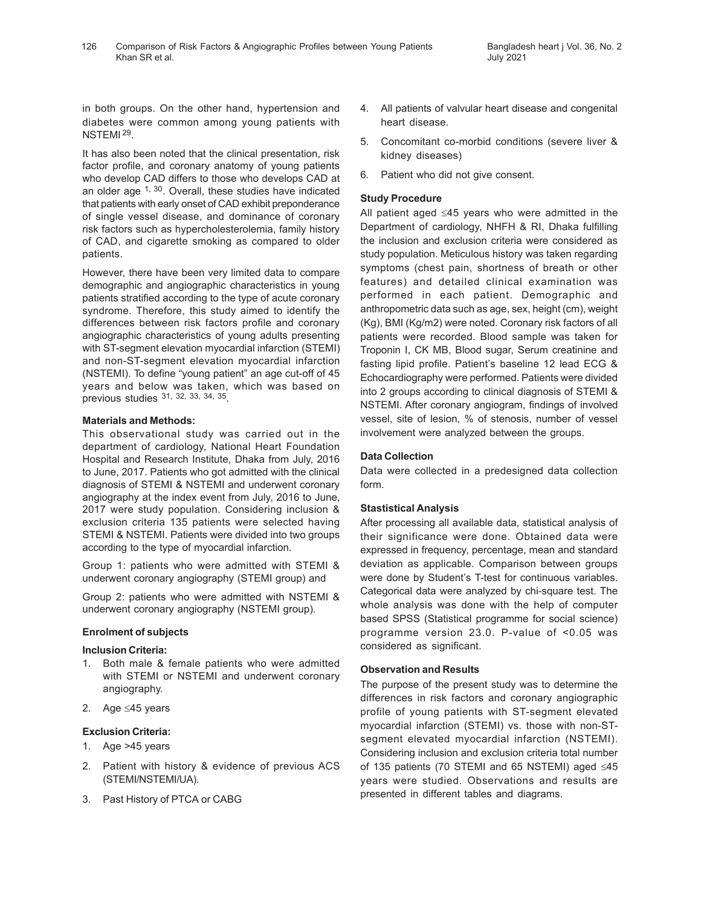in both groups. On the other hand, hypertension and diabetes were common among young patients with NSTEMI<sup>29</sup>.

It has also been noted that the clinical presentation, risk factor profile, and coronary anatomy of young patients who develop CAD differs to those who develops CAD at an older age  $1, 30$ . Overall, these studies have indicated that patients with early onset of CAD exhibit preponderance of single vessel disease, and dominance of coronary risk factors such as hypercholesterolemia, family history of CAD, and cigarette smoking as compared to older patients.

However, there have been very limited data to compare demographic and angiographic characteristics in young patients stratified according to the type of acute coronary syndrome. Therefore, this study aimed to identify the differences between risk factors profile and coronary angiographic characteristics of young adults presenting with ST-segment elevation myocardial infarction (STEMI) and non-ST-segment elevation myocardial infarction (NSTEMI). To define "young patient" an age cut-off of 45 years and below was taken, which was based on previous studies <sup>31, 32, 33, 34, 35</sup>.

#### **Materials and Methods:**

This observational study was carried out in the department of cardiology, National Heart Foundation Hospital and Research Institute, Dhaka from July, 2016 to June, 2017. Patients who got admitted with the clinical diagnosis of STEMI & NSTEMI and underwent coronary angiography at the index event from July, 2016 to June, 2017 were study population. Considering inclusion & exclusion criteria 135 patients were selected having STEMI & NSTEMI. Patients were divided into two groups according to the type of myocardial infarction.

Group 1: patients who were admitted with STEMI & underwent coronary angiography (STEMI group) and

Group 2: patients who were admitted with NSTEMI & underwent coronary angiography (NSTEMI group).

## **Enrolment of subjects**

## **Inclusion Criteria:**

- 1. Both male & female patients who were admitted with STEMI or NSTEMI and underwent coronary angiography.
- 2. Age ≤45 years

## **Exclusion Criteria:**

- 1. Age >45 years
- 2. Patient with history & evidence of previous ACS (STEMI/NSTEMI/UA).
- 3. Past History of PTCA or CABG
- 4. All patients of valvular heart disease and congenital heart disease.
- 5. Concomitant co-morbid conditions (severe liver & kidney diseases)
- 6. Patient who did not give consent.

### **Study Procedure**

All patient aged ≤45 years who were admitted in the Department of cardiology, NHFH & RI, Dhaka fulfilling the inclusion and exclusion criteria were considered as study population. Meticulous history was taken regarding symptoms (chest pain, shortness of breath or other features) and detailed clinical examination was performed in each patient. Demographic and anthropometric data such as age, sex, height (cm), weight (Kg), BMI (Kg/m2) were noted. Coronary risk factors of all patients were recorded. Blood sample was taken for Troponin I, CK MB, Blood sugar, Serum creatinine and fasting lipid profile. Patient's baseline 12 lead ECG & Echocardiography were performed. Patients were divided into 2 groups according to clinical diagnosis of STEMI & NSTEMI. After coronary angiogram, findings of involved vessel, site of lesion, % of stenosis, number of vessel involvement were analyzed between the groups.

### **Data Collection**

Data were collected in a predesigned data collection form.

## **Stastistical Analysis**

After processing all available data, statistical analysis of their significance were done. Obtained data were expressed in frequency, percentage, mean and standard deviation as applicable. Comparison between groups were done by Student's T-test for continuous variables. Categorical data were analyzed by chi-square test. The whole analysis was done with the help of computer based SPSS (Statistical programme for social science) programme version 23.0. P-value of <0.05 was considered as significant.

#### **Observation and Results**

The purpose of the present study was to determine the differences in risk factors and coronary angiographic profile of young patients with ST-segment elevated myocardial infarction (STEMI) vs. those with non-STsegment elevated myocardial infarction (NSTEMI). Considering inclusion and exclusion criteria total number of 135 patients (70 STEMI and 65 NSTEMI) aged ≤45 years were studied. Observations and results are presented in different tables and diagrams.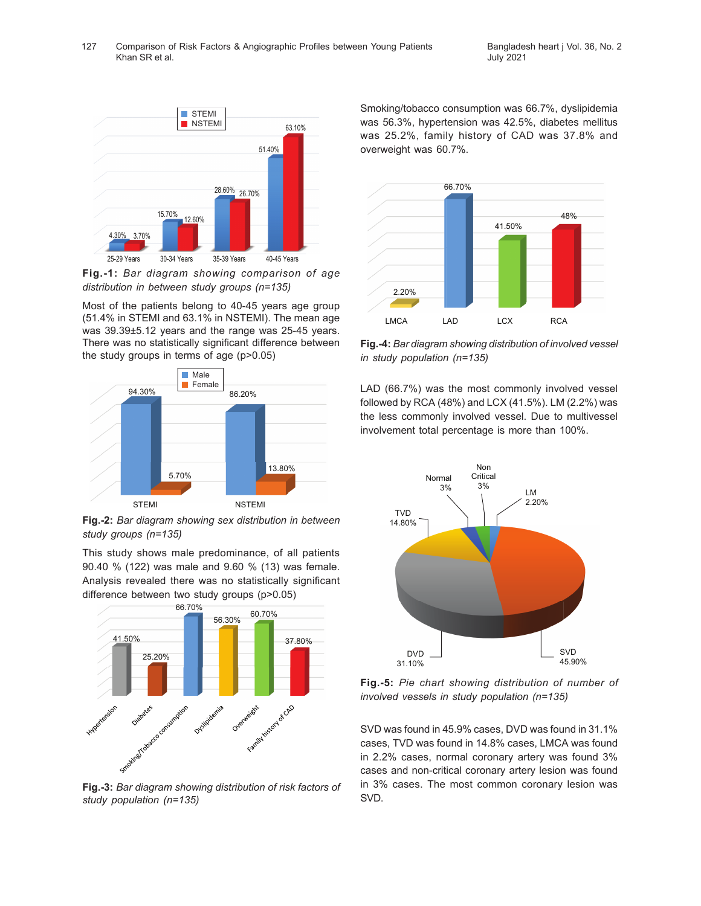

**Fig.-1:** *Bar diagram showing comparison of age distribution in between study groups (n=135)*

Most of the patients belong to 40-45 years age group (51.4% in STEMI and 63.1% in NSTEMI). The mean age was 39.39±5.12 years and the range was 25-45 years. There was no statistically significant difference between the study groups in terms of age (p>0.05)



**Fig.-2:** *Bar diagram showing sex distribution in between study groups (n=135)*

This study shows male predominance, of all patients 90.40 % (122) was male and 9.60 % (13) was female. Analysis revealed there was no statistically significant difference between two study groups (p>0.05)



**Fig.-3:** *Bar diagram showing distribution of risk factors of study population (n=135)*

Smoking/tobacco consumption was 66.7%, dyslipidemia was 56.3%, hypertension was 42.5%, diabetes mellitus was 25.2%, family history of CAD was 37.8% and overweight was 60.7%.



**Fig.-4:** *Bar diagram showing distribution of involved vessel in study population (n=135)*

LAD (66.7%) was the most commonly involved vessel followed by RCA (48%) and LCX (41.5%). LM (2.2%) was the less commonly involved vessel. Due to multivessel involvement total percentage is more than 100%.



**Fig.-5:** *Pie chart showing distribution of number of involved vessels in study population (n=135)*

SVD was found in 45.9% cases, DVD was found in 31.1% cases, TVD was found in 14.8% cases, LMCA was found in 2.2% cases, normal coronary artery was found 3% cases and non-critical coronary artery lesion was found in 3% cases. The most common coronary lesion was SVD.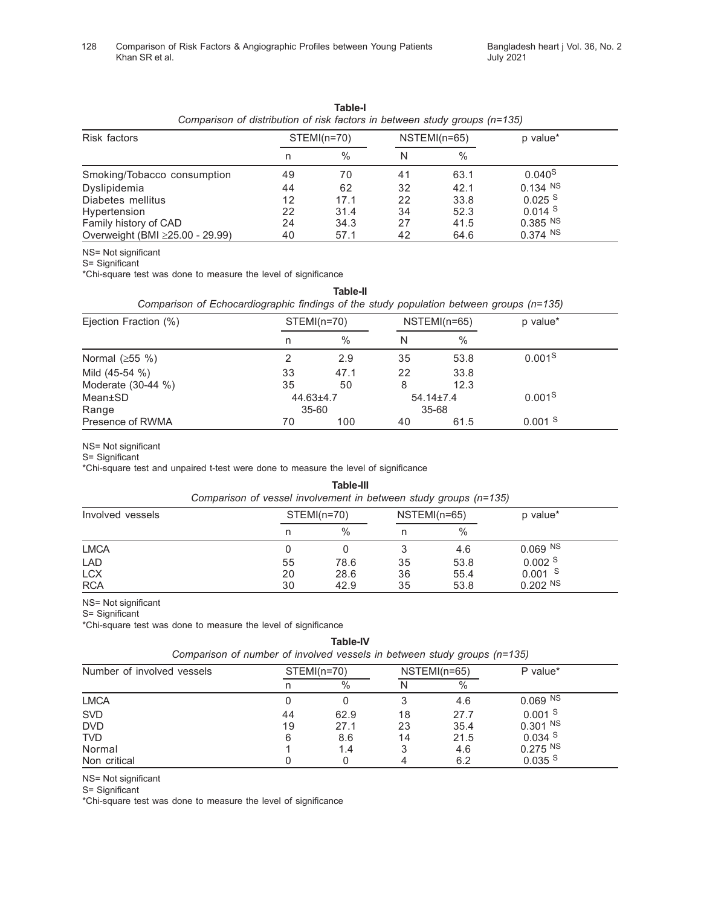| Comparison of distribution of risk factors in between study groups (n=135) |             |               |              |      |                       |  |
|----------------------------------------------------------------------------|-------------|---------------|--------------|------|-----------------------|--|
| Risk factors                                                               | STEMI(n=70) |               | NSTEMI(n=65) |      | p value*              |  |
|                                                                            | n           | $\frac{0}{0}$ |              | %    |                       |  |
| Smoking/Tobacco consumption                                                | 49          | 70            | 41           | 63.1 | 0.040 <sup>S</sup>    |  |
| Dyslipidemia                                                               | 44          | 62            | 32           | 42.1 | $0.134$ NS            |  |
| Diabetes mellitus                                                          | 12          | 17.1          | 22           | 33.8 | $0.025$ <sup>S</sup>  |  |
| Hypertension                                                               | 22          | 31.4          | 34           | 52.3 | $0.014$ <sup>S</sup>  |  |
| Family history of CAD                                                      | 24          | 34.3          | 27           | 41.5 | $0.385$ <sup>NS</sup> |  |
| Overweight (BMI ≥25.00 - 29.99)                                            | 40          | 57.1          | 42           | 64.6 | 0.374 N               |  |

**Table-I** *Comparison of distribution of risk factors in between study groups (n=135)*

NS= Not significant

S= Significant

\*Chi-square test was done to measure the level of significance

| Table-II                                                                                |  |
|-----------------------------------------------------------------------------------------|--|
| Comparison of Echocardiographic findings of the study population between groups (n=135) |  |

| Ejection Fraction (%) |           | STEMI(n=70)   |    | NSTEMI(n=65)    | p value*             |
|-----------------------|-----------|---------------|----|-----------------|----------------------|
|                       | n         | $\frac{0}{0}$ | N  | $\frac{0}{0}$   |                      |
| Normal $(\geq 55 \%)$ |           | 2.9           | 35 | 53.8            | 0.001 <sup>S</sup>   |
| Mild (45-54 %)        | 33        | 47.1          | 22 | 33.8            |                      |
| Moderate (30-44 %)    | 35        | 50            | 8  | 12.3            |                      |
| Mean±SD               | 44.63±4.7 |               |    | $54.14 \pm 7.4$ | 0.001 <sup>S</sup>   |
| Range                 |           | $35 - 60$     |    | 35-68           |                      |
| Presence of RWMA      | 70        | 100           | 40 | 61.5            | $0.001$ <sup>S</sup> |

NS= Not significant

S= Significant

\*Chi-square test and unpaired t-test were done to measure the level of significance

### **Table-III**

| Comparison of vessel involvement in between study groups (n=135) |  |
|------------------------------------------------------------------|--|
|------------------------------------------------------------------|--|

| Involved vessels |    | STEMI(n=70) |    | NSTEMI(n=65) | p value*    |
|------------------|----|-------------|----|--------------|-------------|
|                  | n  | $\%$        |    | $\%$         |             |
| <b>LMCA</b>      |    |             |    | 4.6          | $0.069$ NS  |
| <b>LAD</b>       | 55 | 78.6        | 35 | 53.8         | $0.002$ S   |
| <b>LCX</b>       | 20 | 28.6        | 36 | 55.4         | -S<br>0.001 |
| <b>RCA</b>       | 30 | 42.9        | 35 | 53.8         | $0.202$ NS  |

NS= Not significant

S= Significant

\*Chi-square test was done to measure the level of significance

**Table-IV**

| Comparison of number of involved vessels in between study groups (n=135) |  |  |
|--------------------------------------------------------------------------|--|--|
|--------------------------------------------------------------------------|--|--|

| Number of involved vessels |    | STEMI(n=70) |    | NSTEMI(n=65) | P value*   |
|----------------------------|----|-------------|----|--------------|------------|
|                            |    | $\%$        |    | $\%$         |            |
| <b>LMCA</b>                |    |             |    | 4.6          | $0.069$ NS |
| <b>SVD</b>                 | 44 | 62.9        | 18 | 27.7         | $0.001$ S  |
| <b>DVD</b>                 | 19 | 27.1        | 23 | 35.4         | $0.301$ NS |
| <b>TVD</b>                 | 6  | 8.6         | 14 | 21.5         | $0.034$ S  |
| Normal                     |    | 1.4         |    | 4.6          | $0.275$ NS |
| Non critical               |    |             |    | 6.2          | $0.035$ S  |

NS= Not significant

S= Significant

\*Chi-square test was done to measure the level of significance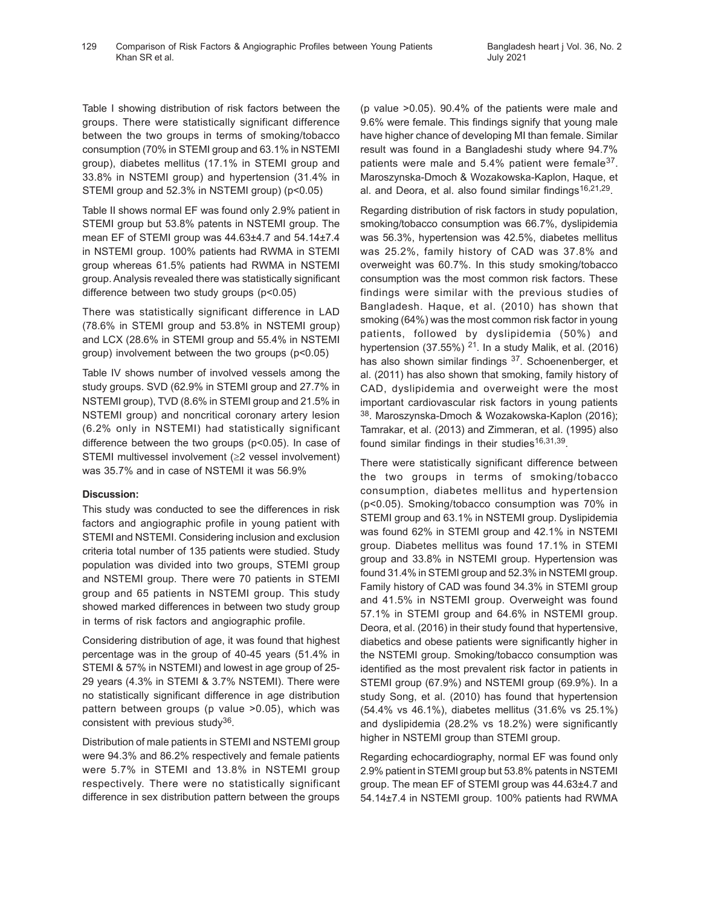Table I showing distribution of risk factors between the groups. There were statistically significant difference between the two groups in terms of smoking/tobacco consumption (70% in STEMI group and 63.1% in NSTEMI group), diabetes mellitus (17.1% in STEMI group and 33.8% in NSTEMI group) and hypertension (31.4% in STEMI group and 52.3% in NSTEMI group) (p<0.05)

Table II shows normal EF was found only 2.9% patient in STEMI group but 53.8% patents in NSTEMI group. The mean EF of STEMI group was 44.63±4.7 and 54.14±7.4 in NSTEMI group. 100% patients had RWMA in STEMI group whereas 61.5% patients had RWMA in NSTEMI group. Analysis revealed there was statistically significant difference between two study groups (p<0.05)

There was statistically significant difference in LAD (78.6% in STEMI group and 53.8% in NSTEMI group) and LCX (28.6% in STEMI group and 55.4% in NSTEMI group) involvement between the two groups (p<0.05)

Table IV shows number of involved vessels among the study groups. SVD (62.9% in STEMI group and 27.7% in NSTEMI group), TVD (8.6% in STEMI group and 21.5% in NSTEMI group) and noncritical coronary artery lesion (6.2% only in NSTEMI) had statistically significant difference between the two groups (p<0.05). In case of STEMI multivessel involvement (≥2 vessel involvement) was 35.7% and in case of NSTEMI it was 56.9%

#### **Discussion:**

This study was conducted to see the differences in risk factors and angiographic profile in young patient with STEMI and NSTEMI. Considering inclusion and exclusion criteria total number of 135 patients were studied. Study population was divided into two groups, STEMI group and NSTEMI group. There were 70 patients in STEMI group and 65 patients in NSTEMI group. This study showed marked differences in between two study group in terms of risk factors and angiographic profile.

Considering distribution of age, it was found that highest percentage was in the group of 40-45 years (51.4% in STEMI & 57% in NSTEMI) and lowest in age group of 25- 29 years (4.3% in STEMI & 3.7% NSTEMI). There were no statistically significant difference in age distribution pattern between groups (p value >0.05), which was consistent with previous study<sup>36</sup>.

Distribution of male patients in STEMI and NSTEMI group were 94.3% and 86.2% respectively and female patients were 5.7% in STEMI and 13.8% in NSTEMI group respectively. There were no statistically significant difference in sex distribution pattern between the groups

(p value >0.05). 90.4% of the patients were male and 9.6% were female. This findings signify that young male have higher chance of developing MI than female. Similar result was found in a Bangladeshi study where 94.7% patients were male and 5.4% patient were female<sup>37</sup>. Maroszynska-Dmoch & Wozakowska-Kaplon, Haque, et al. and Deora, et al. also found similar findings<sup>16,21,29</sup>.

Regarding distribution of risk factors in study population, smoking/tobacco consumption was 66.7%, dyslipidemia was 56.3%, hypertension was 42.5%, diabetes mellitus was 25.2%, family history of CAD was 37.8% and overweight was 60.7%. In this study smoking/tobacco consumption was the most common risk factors. These findings were similar with the previous studies of Bangladesh. Haque, et al. (2010) has shown that smoking (64%) was the most common risk factor in young patients, followed by dyslipidemia (50%) and hypertension (37.55%)  $21$ . In a study Malik, et al. (2016) has also shown similar findings 37. Schoenenberger, et al. (2011) has also shown that smoking, family history of CAD, dyslipidemia and overweight were the most important cardiovascular risk factors in young patients <sup>38</sup>. Maroszynska-Dmoch & Wozakowska-Kaplon (2016); Tamrakar, et al. (2013) and Zimmeran, et al. (1995) also found similar findings in their studies<sup>16,31,39</sup>.

There were statistically significant difference between the two groups in terms of smoking/tobacco consumption, diabetes mellitus and hypertension (p<0.05). Smoking/tobacco consumption was 70% in STEMI group and 63.1% in NSTEMI group. Dyslipidemia was found 62% in STEMI group and 42.1% in NSTEMI group. Diabetes mellitus was found 17.1% in STEMI group and 33.8% in NSTEMI group. Hypertension was found 31.4% in STEMI group and 52.3% in NSTEMI group. Family history of CAD was found 34.3% in STEMI group and 41.5% in NSTEMI group. Overweight was found 57.1% in STEMI group and 64.6% in NSTEMI group. Deora, et al. (2016) in their study found that hypertensive, diabetics and obese patients were significantly higher in the NSTEMI group. Smoking/tobacco consumption was identified as the most prevalent risk factor in patients in STEMI group (67.9%) and NSTEMI group (69.9%). In a study Song, et al. (2010) has found that hypertension (54.4% vs 46.1%), diabetes mellitus (31.6% vs 25.1%) and dyslipidemia (28.2% vs 18.2%) were significantly higher in NSTEMI group than STEMI group.

Regarding echocardiography, normal EF was found only 2.9% patient in STEMI group but 53.8% patents in NSTEMI group. The mean EF of STEMI group was 44.63±4.7 and 54.14±7.4 in NSTEMI group. 100% patients had RWMA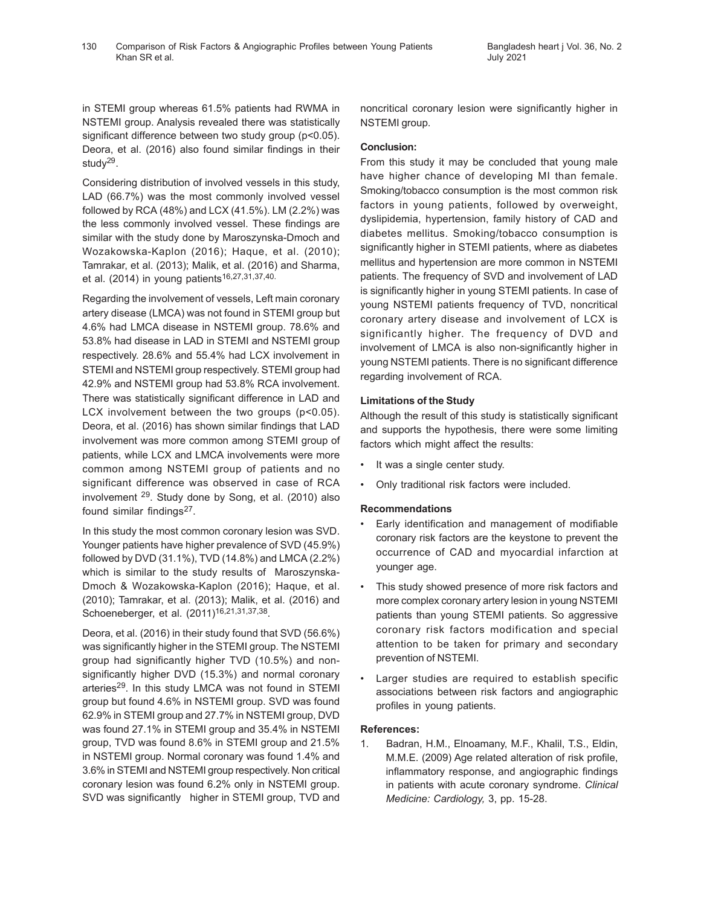in STEMI group whereas 61.5% patients had RWMA in NSTEMI group. Analysis revealed there was statistically significant difference between two study group (p<0.05). Deora, et al. (2016) also found similar findings in their study<sup>29</sup>.

Considering distribution of involved vessels in this study, LAD (66.7%) was the most commonly involved vessel followed by RCA (48%) and LCX (41.5%). LM (2.2%) was the less commonly involved vessel. These findings are similar with the study done by Maroszynska-Dmoch and Wozakowska-Kaplon (2016); Haque, et al. (2010); Tamrakar, et al. (2013); Malik, et al. (2016) and Sharma, et al. (2014) in young patients<sup>16,27,31,37,40.</sup>

Regarding the involvement of vessels, Left main coronary artery disease (LMCA) was not found in STEMI group but 4.6% had LMCA disease in NSTEMI group. 78.6% and 53.8% had disease in LAD in STEMI and NSTEMI group respectively. 28.6% and 55.4% had LCX involvement in STEMI and NSTEMI group respectively. STEMI group had 42.9% and NSTEMI group had 53.8% RCA involvement. There was statistically significant difference in LAD and LCX involvement between the two groups (p<0.05). Deora, et al. (2016) has shown similar findings that LAD involvement was more common among STEMI group of patients, while LCX and LMCA involvements were more common among NSTEMI group of patients and no significant difference was observed in case of RCA involvement 29. Study done by Song, et al. (2010) also found similar findings<sup>27</sup>.

In this study the most common coronary lesion was SVD. Younger patients have higher prevalence of SVD (45.9%) followed by DVD (31.1%), TVD (14.8%) and LMCA (2.2%) which is similar to the study results of Maroszynska-Dmoch & Wozakowska-Kaplon (2016); Haque, et al. (2010); Tamrakar, et al. (2013); Malik, et al. (2016) and Schoeneberger, et al. (2011)<sup>16,21,31,37,38</sup>.

Deora, et al. (2016) in their study found that SVD (56.6%) was significantly higher in the STEMI group. The NSTEMI group had significantly higher TVD (10.5%) and nonsignificantly higher DVD (15.3%) and normal coronary arteries<sup>29</sup>. In this study LMCA was not found in STEMI group but found 4.6% in NSTEMI group. SVD was found 62.9% in STEMI group and 27.7% in NSTEMI group, DVD was found 27.1% in STEMI group and 35.4% in NSTEMI group, TVD was found 8.6% in STEMI group and 21.5% in NSTEMI group. Normal coronary was found 1.4% and 3.6% in STEMI and NSTEMI group respectively. Non critical coronary lesion was found 6.2% only in NSTEMI group. SVD was significantly higher in STEMI group, TVD and

noncritical coronary lesion were significantly higher in NSTEMI group.

#### **Conclusion:**

From this study it may be concluded that young male have higher chance of developing MI than female. Smoking/tobacco consumption is the most common risk factors in young patients, followed by overweight, dyslipidemia, hypertension, family history of CAD and diabetes mellitus. Smoking/tobacco consumption is significantly higher in STEMI patients, where as diabetes mellitus and hypertension are more common in NSTEMI patients. The frequency of SVD and involvement of LAD is significantly higher in young STEMI patients. In case of young NSTEMI patients frequency of TVD, noncritical coronary artery disease and involvement of LCX is significantly higher. The frequency of DVD and involvement of LMCA is also non-significantly higher in young NSTEMI patients. There is no significant difference regarding involvement of RCA.

#### **Limitations of the Study**

Although the result of this study is statistically significant and supports the hypothesis, there were some limiting factors which might affect the results:

- It was a single center study.
- Only traditional risk factors were included.

#### **Recommendations**

- Early identification and management of modifiable coronary risk factors are the keystone to prevent the occurrence of CAD and myocardial infarction at younger age.
- This study showed presence of more risk factors and more complex coronary artery lesion in young NSTEMI patients than young STEMI patients. So aggressive coronary risk factors modification and special attention to be taken for primary and secondary prevention of NSTEMI.
- Larger studies are required to establish specific associations between risk factors and angiographic profiles in young patients.

#### **References:**

1. Badran, H.M., Elnoamany, M.F., Khalil, T.S., Eldin, M.M.E. (2009) Age related alteration of risk profile, inflammatory response, and angiographic findings in patients with acute coronary syndrome. *Clinical Medicine: Cardiology,* 3, pp. 15-28.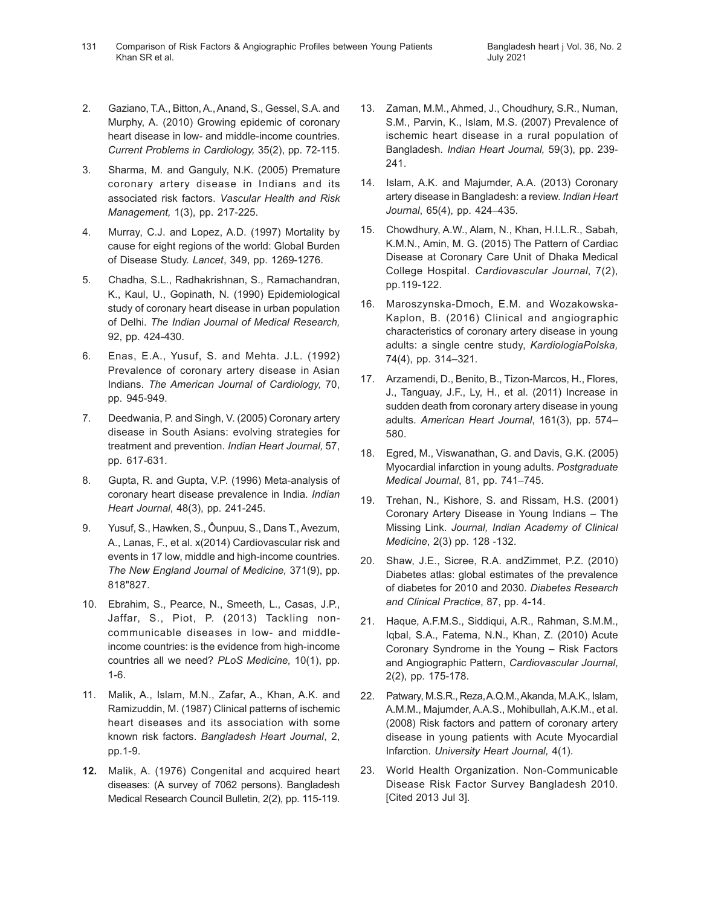- 2. Gaziano, T.A., Bitton, A., Anand, S., Gessel, S.A. and Murphy, A. (2010) Growing epidemic of coronary heart disease in low- and middle-income countries. *Current Problems in Cardiology,* 35(2), pp. 72-115.
- 3. Sharma, M. and Ganguly, N.K. (2005) Premature coronary artery disease in Indians and its associated risk factors. *Vascular Health and Risk Management,* 1(3), pp. 217-225.
- 4. Murray, C.J. and Lopez, A.D. (1997) Mortality by cause for eight regions of the world: Global Burden of Disease Study. *Lancet*, 349, pp. 1269-1276.
- 5. Chadha, S.L., Radhakrishnan, S., Ramachandran, K., Kaul, U., Gopinath, N. (1990) Epidemiological study of coronary heart disease in urban population of Delhi. *The Indian Journal of Medical Research,* 92, pp. 424-430.
- 6. Enas, E.A., Yusuf, S. and Mehta. J.L. (1992) Prevalence of coronary artery disease in Asian Indians. *The American Journal of Cardiology,* 70, pp. 945-949.
- 7. Deedwania, P. and Singh, V. (2005) Coronary artery disease in South Asians: evolving strategies for treatment and prevention. *Indian Heart Journal,* 57, pp. 617-631.
- 8. Gupta, R. and Gupta, V.P. (1996) Meta-analysis of coronary heart disease prevalence in India. *Indian Heart Journal*, 48(3), pp. 241-245.
- 9. Yusuf, S., Hawken, S., Ôunpuu, S., Dans T., Avezum, A., Lanas, F., et al. x(2014) Cardiovascular risk and events in 17 low, middle and high-income countries. *The New England Journal of Medicine,* 371(9), pp. 818"827.
- 10. Ebrahim, S., Pearce, N., Smeeth, L., Casas, J.P., Jaffar, S., Piot, P. (2013) Tackling noncommunicable diseases in low- and middleincome countries: is the evidence from high-income countries all we need? *PLoS Medicine,* 10(1), pp. 1-6.
- 11. Malik, A., Islam, M.N., Zafar, A., Khan, A.K. and Ramizuddin, M. (1987) Clinical patterns of ischemic heart diseases and its association with some known risk factors. *Bangladesh Heart Journal*, 2, pp.1-9.
- **12.** Malik, A. (1976) Congenital and acquired heart diseases: (A survey of 7062 persons). Bangladesh Medical Research Council Bulletin, 2(2), pp. 115-119.
- 13. Zaman, M.M., Ahmed, J., Choudhury, S.R., Numan, S.M., Parvin, K., Islam, M.S. (2007) Prevalence of ischemic heart disease in a rural population of Bangladesh. *Indian Heart Journal,* 59(3), pp. 239- 241.
- 14. Islam, A.K. and Majumder, A.A. (2013) Coronary artery disease in Bangladesh: a review. *Indian Heart Journal*, 65(4), pp. 424–435.
- 15. Chowdhury, A.W., Alam, N., Khan, H.I.L.R., Sabah, K.M.N., Amin, M. G. (2015) The Pattern of Cardiac Disease at Coronary Care Unit of Dhaka Medical College Hospital. *Cardiovascular Journal*, 7(2), pp.119-122.
- 16. Maroszynska-Dmoch, E.M. and Wozakowska-Kaplon, B. (2016) Clinical and angiographic characteristics of coronary artery disease in young adults: a single centre study, *KardiologiaPolska,* 74(4), pp. 314–321.
- 17. Arzamendi, D., Benito, B., Tizon-Marcos, H., Flores, J., Tanguay, J.F., Ly, H., et al. (2011) Increase in sudden death from coronary artery disease in young adults. *American Heart Journal*, 161(3), pp. 574– 580.
- 18. Egred, M., Viswanathan, G. and Davis, G.K. (2005) Myocardial infarction in young adults. *Postgraduate Medical Journal*, 81, pp. 741–745.
- 19. Trehan, N., Kishore, S. and Rissam, H.S. (2001) Coronary Artery Disease in Young Indians – The Missing Link. *Journal, Indian Academy of Clinical Medicine*, 2(3) pp. 128 -132.
- 20. Shaw, J.E., Sicree, R.A. andZimmet, P.Z. (2010) Diabetes atlas: global estimates of the prevalence of diabetes for 2010 and 2030. *Diabetes Research and Clinical Practice*, 87, pp. 4-14.
- 21. Haque, A.F.M.S., Siddiqui, A.R., Rahman, S.M.M., Iqbal, S.A., Fatema, N.N., Khan, Z. (2010) Acute Coronary Syndrome in the Young – Risk Factors and Angiographic Pattern, *Cardiovascular Journal*, 2(2), pp. 175-178.
- 22. Patwary, M.S.R., Reza, A.Q.M., Akanda, M.A.K., Islam, A.M.M., Majumder, A.A.S., Mohibullah, A.K.M., et al. (2008) Risk factors and pattern of coronary artery disease in young patients with Acute Myocardial Infarction. *University Heart Journal,* 4(1).
- 23. World Health Organization. Non-Communicable Disease Risk Factor Survey Bangladesh 2010. [Cited 2013 Jul 3].